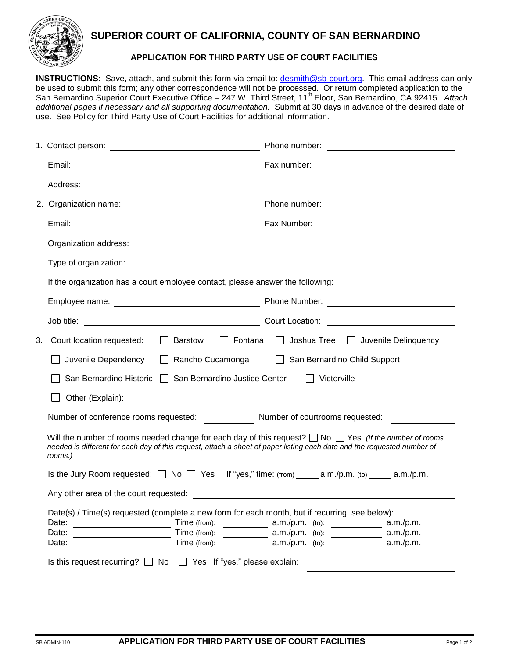

## **SUPERIOR COURT OF CALIFORNIA, COUNTY OF SAN BERNARDINO**

## **APPLICATION FOR THIRD PARTY USE OF COURT FACILITIES**

**INSTRUCTIONS:** Save, attach, and submit this form via email to: [desmith@sb-court.org.](mailto:desmith@sb-court.org) This email address can only be used to submit this form; any other correspondence will not be processed. Or return completed application to the San Bernardino Superior Court Executive Office – 247 W. Third Street, 11<sup>th</sup> Floor, San Bernardino, CA 92415. Attach *additional pages if necessary and all supporting documentation.* Submit at 30 days in advance of the desired date of use. See Policy for Third Party Use of Court Facilities for additional information.

|    | If the organization has a court employee contact, please answer the following:                                                                                                                                                                          |                                                                                                            |  |  |
|----|---------------------------------------------------------------------------------------------------------------------------------------------------------------------------------------------------------------------------------------------------------|------------------------------------------------------------------------------------------------------------|--|--|
|    |                                                                                                                                                                                                                                                         |                                                                                                            |  |  |
|    |                                                                                                                                                                                                                                                         |                                                                                                            |  |  |
| 3. | □ Joshua Tree □ Juvenile Delinquency<br>$\Box$ Barstow<br>$\Box$ Fontana<br>Court location requested:                                                                                                                                                   |                                                                                                            |  |  |
|    | San Bernardino Child Support<br>Juvenile Dependency   Rancho Cucamonga                                                                                                                                                                                  |                                                                                                            |  |  |
|    | San Bernardino Historic □ San Bernardino Justice Center<br>Victorville                                                                                                                                                                                  |                                                                                                            |  |  |
|    | Other (Explain):                                                                                                                                                                                                                                        |                                                                                                            |  |  |
|    |                                                                                                                                                                                                                                                         | Number of conference rooms requested: Number of courtrooms requested: 2000 Mumber of courtrooms requested: |  |  |
|    | Will the number of rooms needed change for each day of this request? $\Box$ No $\Box$ Yes (If the number of rooms<br>needed is different for each day of this request, attach a sheet of paper listing each date and the requested number of<br>rooms.) |                                                                                                            |  |  |
|    |                                                                                                                                                                                                                                                         |                                                                                                            |  |  |
|    |                                                                                                                                                                                                                                                         |                                                                                                            |  |  |
|    |                                                                                                                                                                                                                                                         |                                                                                                            |  |  |
|    | Date(s) / Time(s) requested (complete a new form for each month, but if recurring, see below):<br>Time (from):<br>Date:<br>Date:<br>Time (from):                                                                                                        | $a.m./p.m.$ (to):<br>a.m./p.m.<br>$a.m./p.m.$ (to):<br>a.m./p.m.                                           |  |  |